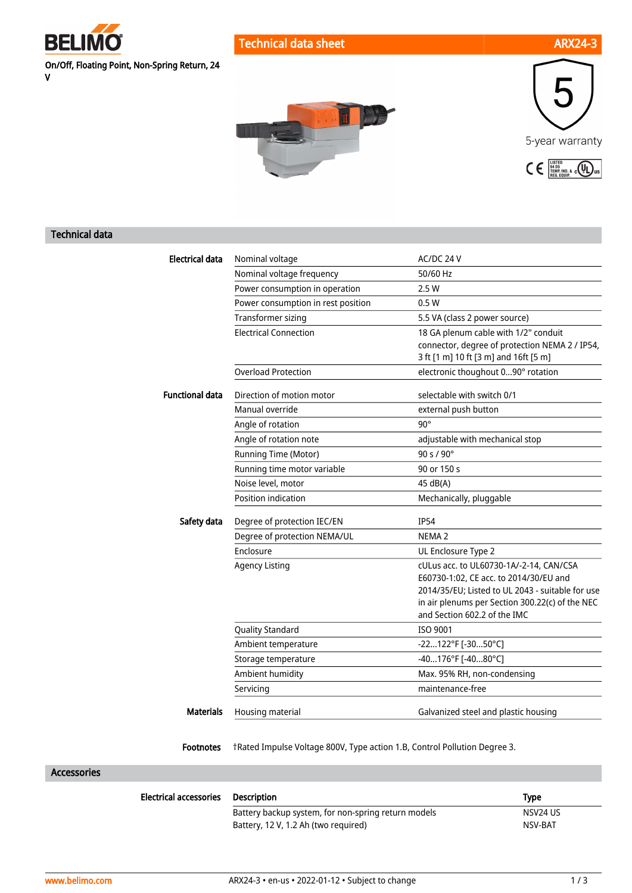

V

On/Off, Floating Point, Non-Spring Return, 24

Technical data sheet ARX24-3

# n M



### Technical data

| <b>Electrical data</b> | Nominal voltage                    | AC/DC 24 V                                                                                                                                                                                                               |
|------------------------|------------------------------------|--------------------------------------------------------------------------------------------------------------------------------------------------------------------------------------------------------------------------|
|                        | Nominal voltage frequency          | 50/60 Hz                                                                                                                                                                                                                 |
|                        | Power consumption in operation     | 2.5W                                                                                                                                                                                                                     |
|                        | Power consumption in rest position | 0.5W                                                                                                                                                                                                                     |
|                        | <b>Transformer sizing</b>          | 5.5 VA (class 2 power source)                                                                                                                                                                                            |
|                        | <b>Electrical Connection</b>       | 18 GA plenum cable with 1/2" conduit<br>connector, degree of protection NEMA 2 / IP54,<br>3 ft [1 m] 10 ft [3 m] and 16ft [5 m]                                                                                          |
|                        | <b>Overload Protection</b>         | electronic thoughout 090° rotation                                                                                                                                                                                       |
| <b>Functional data</b> | Direction of motion motor          | selectable with switch 0/1                                                                                                                                                                                               |
|                        | Manual override                    | external push button                                                                                                                                                                                                     |
|                        | Angle of rotation                  | $90^\circ$                                                                                                                                                                                                               |
|                        | Angle of rotation note             | adjustable with mechanical stop                                                                                                                                                                                          |
|                        | Running Time (Motor)               | 90 s / 90°                                                                                                                                                                                                               |
|                        | Running time motor variable        | 90 or 150 s                                                                                                                                                                                                              |
|                        | Noise level, motor                 | 45 dB(A)                                                                                                                                                                                                                 |
|                        | Position indication                | Mechanically, pluggable                                                                                                                                                                                                  |
| Safety data            | Degree of protection IEC/EN        | <b>IP54</b>                                                                                                                                                                                                              |
|                        | Degree of protection NEMA/UL       | NEMA <sub>2</sub>                                                                                                                                                                                                        |
|                        | Enclosure                          | UL Enclosure Type 2                                                                                                                                                                                                      |
|                        | <b>Agency Listing</b>              | cULus acc. to UL60730-1A/-2-14, CAN/CSA<br>E60730-1:02, CE acc. to 2014/30/EU and<br>2014/35/EU; Listed to UL 2043 - suitable for use<br>in air plenums per Section 300.22(c) of the NEC<br>and Section 602.2 of the IMC |
|                        | <b>Quality Standard</b>            | ISO 9001                                                                                                                                                                                                                 |
|                        | Ambient temperature                | -22122°F [-3050°C]                                                                                                                                                                                                       |
|                        | Storage temperature                | -40176°F [-4080°C]                                                                                                                                                                                                       |
|                        | Ambient humidity                   | Max. 95% RH, non-condensing                                                                                                                                                                                              |
|                        | Servicing                          | maintenance-free                                                                                                                                                                                                         |
| <b>Materials</b>       | Housing material                   | Galvanized steel and plastic housing                                                                                                                                                                                     |

Footnotes †Rated Impulse Voltage 800V, Type action 1.B, Control Pollution Degree 3.

### Accessories

| <b>Electrical accessories</b> | Description                                         | <b>Type</b> |
|-------------------------------|-----------------------------------------------------|-------------|
|                               | Battery backup system, for non-spring return models | NSV24 US    |
|                               | Battery, 12 V, 1.2 Ah (two required)                | NSV-BAT     |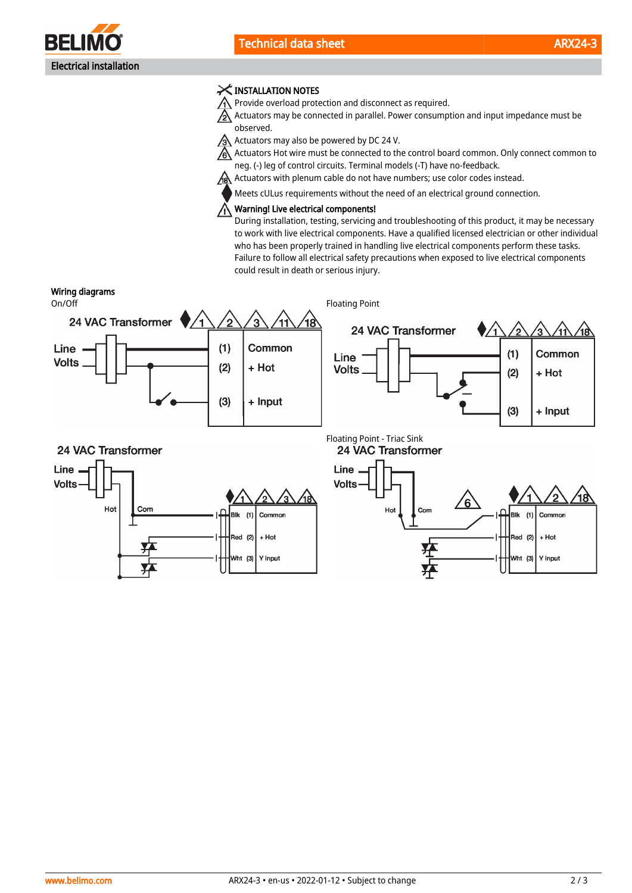

## X INSTALLATION NOTES

 $\bigwedge$  Provide overload protection and disconnect as required.

 $\triangle$  Actuators may be connected in parallel. Power consumption and input impedance must be observed.

 $\sqrt{3}$  Actuators may also be powered by DC 24 V.

Actuators Hot wire must be connected to the control board common. Only connect common to neg. (-) leg of control circuits. Terminal models (-T) have no-feedback.

A Actuators with plenum cable do not have numbers; use color codes instead.

Meets cULus requirements without the need of an electrical ground connection.

# Warning! Live electrical components!

During installation, testing, servicing and troubleshooting of this product, it may be necessary to work with live electrical components. Have a qualified licensed electrician or other individual who has been properly trained in handling live electrical components perform these tasks. Failure to follow all electrical safety precautions when exposed to live electrical components could result in death or serious injury.